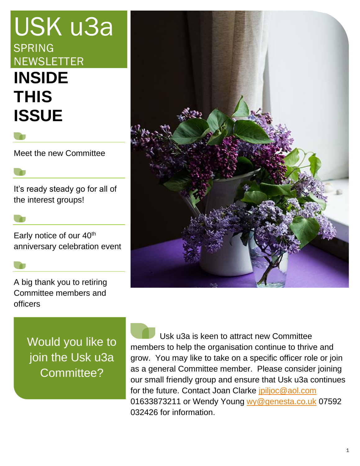# USK u3a SPRING **NEWSLETTER INSIDE THIS ISSUE**

Meet the new Committee

It's ready steady go for all of the interest groups!

Early notice of our 40<sup>th</sup> anniversary celebration event

A big thank you to retiring Committee members and officers



Would you like to join the Usk u3a Committee?

 Usk u3a is keen to attract new Committee members to help the organisation continue to thrive and grow. You may like to take on a specific officer role or join as a general Committee member. Please consider joining our small friendly group and ensure that Usk u3a continues for the future. Contact Joan Clarke [jpiljoc@aol.com](mailto:jpiljoc@aol.com) 01633873211 or Wendy Young [wy@genesta.co.uk](mailto:wy@genesta.co.uk) 07592 032426 for information.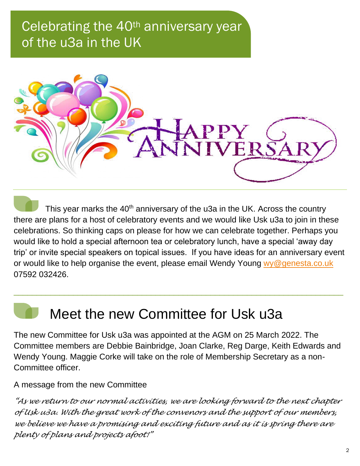# Celebrating the 40<sup>th</sup> anniversary year of the u3a in the UK



This year marks the 40<sup>th</sup> anniversary of the u3a in the UK. Across the country there are plans for a host of celebratory events and we would like Usk u3a to join in these celebrations. So thinking caps on please for how we can celebrate together. Perhaps you would like to hold a special afternoon tea or celebratory lunch, have a special 'away day trip' or invite special speakers on topical issues. If you have ideas for an anniversary event or would like to help organise the event, please email Wendy Young [wy@genesta.co.uk](mailto:wy@genesta.co.uk) 07592 032426.

\_\_\_\_\_\_\_\_\_\_\_\_\_\_\_\_\_\_\_\_\_\_\_\_\_\_\_\_\_\_\_\_\_\_\_\_\_\_\_\_\_\_\_\_\_\_\_\_\_\_\_\_\_\_\_\_\_\_\_\_\_\_\_\_\_\_\_\_\_\_\_\_

# Meet the new Committee for Usk u3a

The new Committee for Usk u3a was appointed at the AGM on 25 March 2022. The Committee members are Debbie Bainbridge, Joan Clarke, Reg Darge, Keith Edwards and Wendy Young. Maggie Corke will take on the role of Membership Secretary as a non-Committee officer.

A message from the new Committee

*"As we return to our normal activities, we are looking forward to the next chapter of Usk u3a. With the great work of the convenors and the support of our members, we believe we have a promising and exciting future and as it is spring there are plenty of plans and projects afoot!"*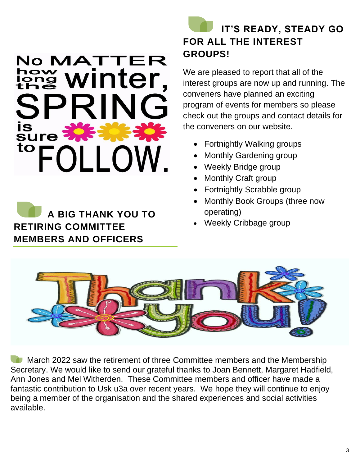# No MATTER they winter, SPRIN is<br>sure FOLLOW. to

 **A BIG THANK YOU TO RETIRING COMMITTEE MEMBERS AND OFFICERS**

## **IT'S READY, STEADY GO FOR ALL THE INTEREST GROUPS!**

We are pleased to report that all of the interest groups are now up and running. The conveners have planned an exciting program of events for members so please check out the groups and contact details for the conveners on our website.

- Fortnightly Walking groups
- Monthly Gardening group
- Weekly Bridge group
- Monthly Craft group
- Fortnightly Scrabble group
- Monthly Book Groups (three now operating)
- Weekly Cribbage group



**March 2022 saw the retirement of three Committee members and the Membership** Secretary. We would like to send our grateful thanks to Joan Bennett, Margaret Hadfield, Ann Jones and Mel Witherden. These Committee members and officer have made a fantastic contribution to Usk u3a over recent years. We hope they will continue to enjoy being a member of the organisation and the shared experiences and social activities available.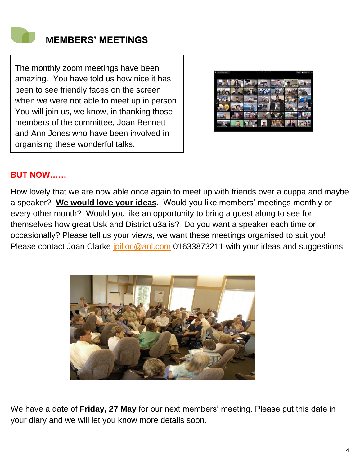

The monthly zoom meetings have been amazing. You have told us how nice it has been to see friendly faces on the screen when we were not able to meet up in person. You will join us, we know, in thanking those members of the committee, Joan Bennett and Ann Jones who have been involved in organising these wonderful talks.



### **BUT NOW……**

How lovely that we are now able once again to meet up with friends over a cuppa and maybe a speaker? **We would love your ideas.** Would you like members' meetings monthly or every other month? Would you like an opportunity to bring a guest along to see for themselves how great Usk and District u3a is? Do you want a speaker each time or occasionally? Please tell us your views, we want these meetings organised to suit you! Please contact Joan Clarke *jpiljoc@aol.com* 01633873211 with your ideas and suggestions.



We have a date of **Friday, 27 May** for our next members' meeting. Please put this date in your diary and we will let you know more details soon.